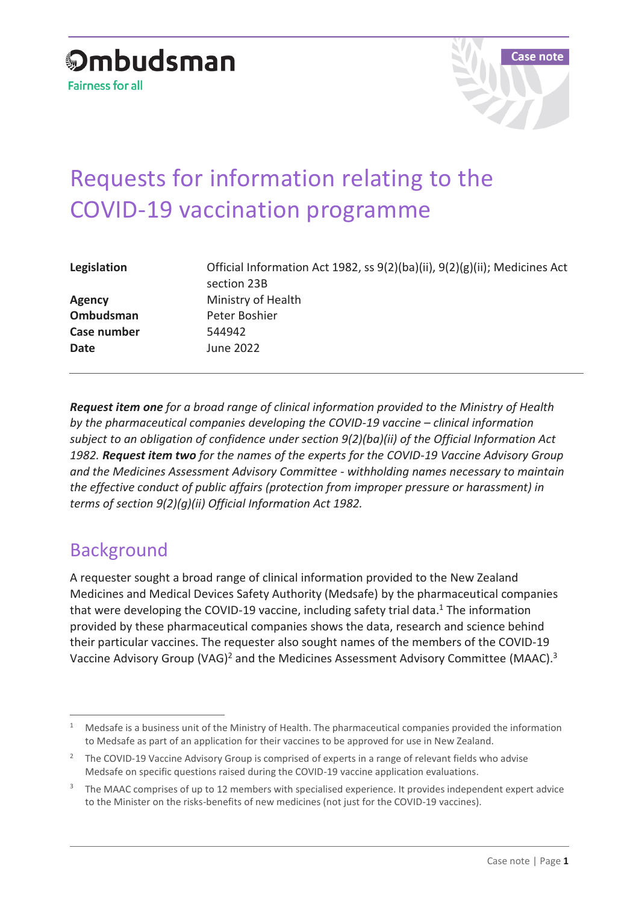

# Requests for information relating to the COVID-19 vaccination programme

| Legislation   | Official Information Act 1982, ss 9(2)(ba)(ii), 9(2)(g)(ii); Medicines Act<br>section 23B |
|---------------|-------------------------------------------------------------------------------------------|
| <b>Agency</b> | Ministry of Health                                                                        |
| Ombudsman     | Peter Boshier                                                                             |
| Case number   | 544942                                                                                    |
| <b>Date</b>   | June 2022                                                                                 |

*Request item one for a broad range of clinical information provided to the Ministry of Health by the pharmaceutical companies developing the COVID-19 vaccine – clinical information subject to an obligation of confidence under section 9(2)(ba)(ii) of the Official Information Act 1982. Request item two for the names of the experts for the COVID-19 Vaccine Advisory Group and the Medicines Assessment Advisory Committee - withholding names necessary to maintain the effective conduct of public affairs (protection from improper pressure or harassment) in terms of section 9(2)(g)(ii) Official Information Act 1982.* 

## Background

A requester sought a broad range of clinical information provided to the New Zealand Medicines and Medical Devices Safety Authority (Medsafe) by the pharmaceutical companies that were developing the COVID-19 vaccine, including safety trial data.<sup>1</sup> The information provided by these pharmaceutical companies shows the data, research and science behind their particular vaccines. The requester also sought names of the members of the COVID-19 Vaccine Advisory Group (VAG)<sup>2</sup> and the Medicines Assessment Advisory Committee (MAAC).<sup>3</sup>

 $\overline{a}$ <sup>1</sup> Medsafe is a business unit of the Ministry of Health. The pharmaceutical companies provided the information to Medsafe as part of an application for their vaccines to be approved for use in New Zealand.

<sup>&</sup>lt;sup>2</sup> The COVID-19 Vaccine Advisory Group is comprised of experts in a range of relevant fields who advise Medsafe on specific questions raised during the COVID-19 vaccine application evaluations.

<sup>&</sup>lt;sup>3</sup> The MAAC comprises of up to 12 members with specialised experience. It provides independent expert advice to the Minister on the risks-benefits of new medicines (not just for the COVID-19 vaccines).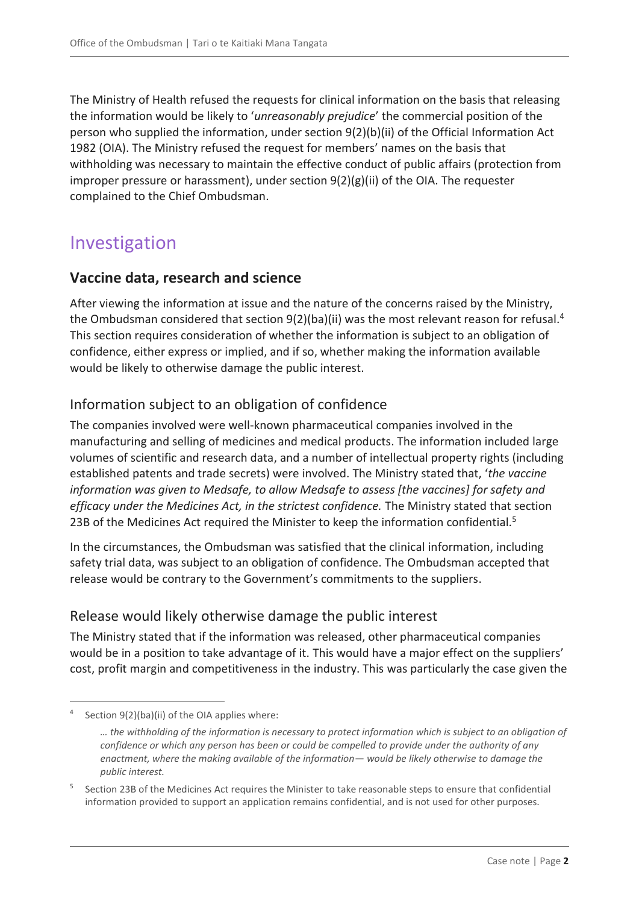The Ministry of Health refused the requests for clinical information on the basis that releasing the information would be likely to '*unreasonably prejudice*' the commercial position of the person who supplied the information, under section 9(2)(b)(ii) of the Official Information Act 1982 (OIA). The Ministry refused the request for members' names on the basis that withholding was necessary to maintain the effective conduct of public affairs (protection from improper pressure or harassment), under section  $9(2)(g)(ii)$  of the OIA. The requester complained to the Chief Ombudsman.

# Investigation

#### **Vaccine data, research and science**

After viewing the information at issue and the nature of the concerns raised by the Ministry, the Ombudsman considered that section  $9(2)(ba)(ii)$  was the most relevant reason for refusal.<sup>4</sup> This section requires consideration of whether the information is subject to an obligation of confidence, either express or implied, and if so, whether making the information available would be likely to otherwise damage the public interest.

#### Information subject to an obligation of confidence

The companies involved were well-known pharmaceutical companies involved in the manufacturing and selling of medicines and medical products. The information included large volumes of scientific and research data, and a number of intellectual property rights (including established patents and trade secrets) were involved. The Ministry stated that, '*the vaccine information was given to Medsafe, to allow Medsafe to assess [the vaccines] for safety and efficacy under the Medicines Act, in the strictest confidence.* The Ministry stated that section 23B of the Medicines Act required the Minister to keep the information confidential.<sup>5</sup>

In the circumstances, the Ombudsman was satisfied that the clinical information, including safety trial data, was subject to an obligation of confidence. The Ombudsman accepted that release would be contrary to the Government's commitments to the suppliers.

#### Release would likely otherwise damage the public interest

The Ministry stated that if the information was released, other pharmaceutical companies would be in a position to take advantage of it. This would have a major effect on the suppliers' cost, profit margin and competitiveness in the industry. This was particularly the case given the

 $\overline{a}$ <sup>4</sup> Section 9(2)(ba)(ii) of the OIA applies where:

*<sup>…</sup> the withholding of the information is necessary to protect information which is subject to an obligation of confidence or which any person has been or could be compelled to provide under the authority of any enactment, where the making available of the information— would be likely otherwise to damage the public interest.*

<sup>5</sup> Section 23B of the Medicines Act requires the Minister to take reasonable steps to ensure that confidential information provided to support an application remains confidential, and is not used for other purposes.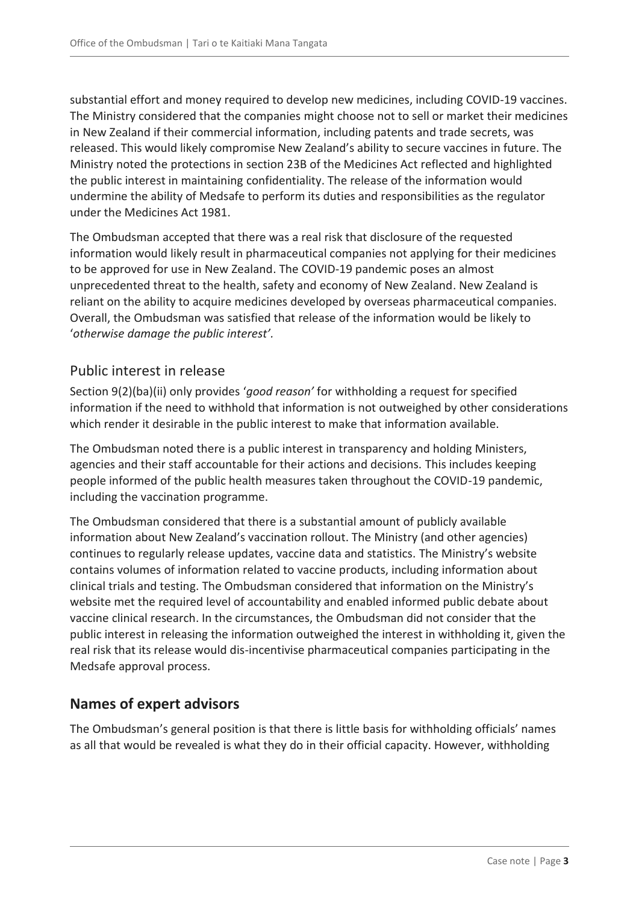substantial effort and money required to develop new medicines, including COVID-19 vaccines. The Ministry considered that the companies might choose not to sell or market their medicines in New Zealand if their commercial information, including patents and trade secrets, was released. This would likely compromise New Zealand's ability to secure vaccines in future. The Ministry noted the protections in section 23B of the Medicines Act reflected and highlighted the public interest in maintaining confidentiality. The release of the information would undermine the ability of Medsafe to perform its duties and responsibilities as the regulator under the Medicines Act 1981.

The Ombudsman accepted that there was a real risk that disclosure of the requested information would likely result in pharmaceutical companies not applying for their medicines to be approved for use in New Zealand. The COVID-19 pandemic poses an almost unprecedented threat to the health, safety and economy of New Zealand. New Zealand is reliant on the ability to acquire medicines developed by overseas pharmaceutical companies. Overall, the Ombudsman was satisfied that release of the information would be likely to '*otherwise damage the public interest'.*

#### Public interest in release

Section 9(2)(ba)(ii) only provides '*good reason'* for withholding a request for specified information if the need to withhold that information is not outweighed by other considerations which render it desirable in the public interest to make that information available.

The Ombudsman noted there is a public interest in transparency and holding Ministers, agencies and their staff accountable for their actions and decisions. This includes keeping people informed of the public health measures taken throughout the COVID-19 pandemic, including the vaccination programme.

The Ombudsman considered that there is a substantial amount of publicly available information about New Zealand's vaccination rollout. The Ministry (and other agencies) continues to regularly release updates, vaccine data and statistics. The Ministry's website contains volumes of information related to vaccine products, including information about clinical trials and testing. The Ombudsman considered that information on the Ministry's website met the required level of accountability and enabled informed public debate about vaccine clinical research. In the circumstances, the Ombudsman did not consider that the public interest in releasing the information outweighed the interest in withholding it, given the real risk that its release would dis-incentivise pharmaceutical companies participating in the Medsafe approval process.

#### **Names of expert advisors**

The Ombudsman's general position is that there is little basis for withholding officials' names as all that would be revealed is what they do in their official capacity. However, withholding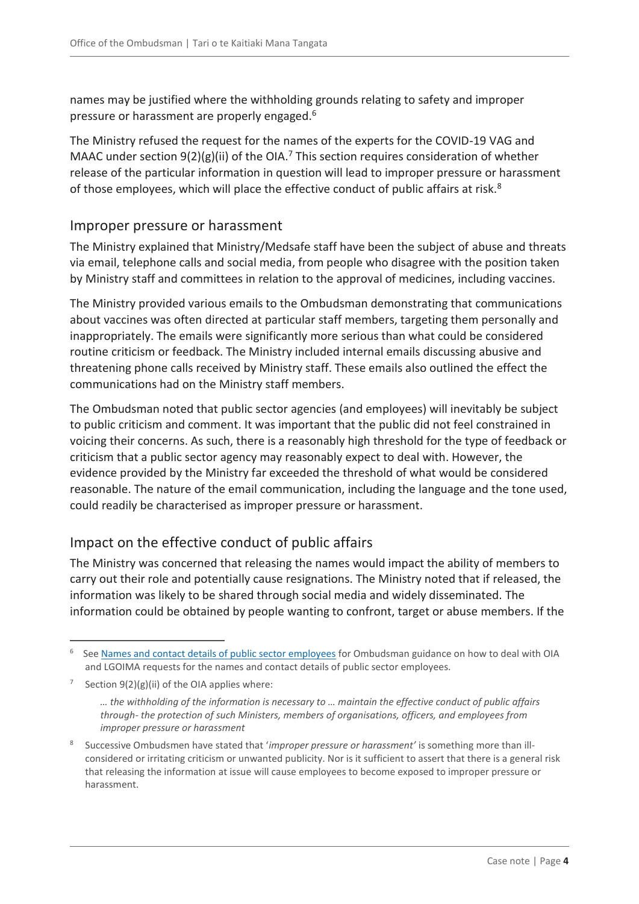names may be justified where the withholding grounds relating to safety and improper pressure or harassment are properly engaged.<sup>6</sup>

The Ministry refused the request for the names of the experts for the COVID-19 VAG and MAAC under section  $9(2)(g)(ii)$  of the OIA.<sup>7</sup> This section requires consideration of whether release of the particular information in question will lead to improper pressure or harassment of those employees, which will place the effective conduct of public affairs at risk. $8$ 

#### Improper pressure or harassment

The Ministry explained that Ministry/Medsafe staff have been the subject of abuse and threats via email, telephone calls and social media, from people who disagree with the position taken by Ministry staff and committees in relation to the approval of medicines, including vaccines.

The Ministry provided various emails to the Ombudsman demonstrating that communications about vaccines was often directed at particular staff members, targeting them personally and inappropriately. The emails were significantly more serious than what could be considered routine criticism or feedback. The Ministry included internal emails discussing abusive and threatening phone calls received by Ministry staff. These emails also outlined the effect the communications had on the Ministry staff members.

The Ombudsman noted that public sector agencies (and employees) will inevitably be subject to public criticism and comment. It was important that the public did not feel constrained in voicing their concerns. As such, there is a reasonably high threshold for the type of feedback or criticism that a public sector agency may reasonably expect to deal with. However, the evidence provided by the Ministry far exceeded the threshold of what would be considered reasonable. The nature of the email communication, including the language and the tone used, could readily be characterised as improper pressure or harassment.

#### Impact on the effective conduct of public affairs

The Ministry was concerned that releasing the names would impact the ability of members to carry out their role and potentially cause resignations. The Ministry noted that if released, the information was likely to be shared through social media and widely disseminated. The information could be obtained by people wanting to confront, target or abuse members. If the

 $\overline{a}$ 

<sup>6</sup> See [Names and contact details of public sector employees](https://www.ombudsman.parliament.nz/resources/names-and-contact-details-public-sector-employees) for Ombudsman guidance on how to deal with OIA and LGOIMA requests for the names and contact details of public sector employees.

<sup>7</sup> Section 9(2)(g)(ii) of the OIA applies where:

*<sup>…</sup> the withholding of the information is necessary to … maintain the effective conduct of public affairs through- the protection of such Ministers, members of organisations, officers, and employees from improper pressure or harassment*

<sup>8</sup> Successive Ombudsmen have stated that '*improper pressure or harassment'* is something more than illconsidered or irritating criticism or unwanted publicity. Nor is it sufficient to assert that there is a general risk that releasing the information at issue will cause employees to become exposed to improper pressure or harassment.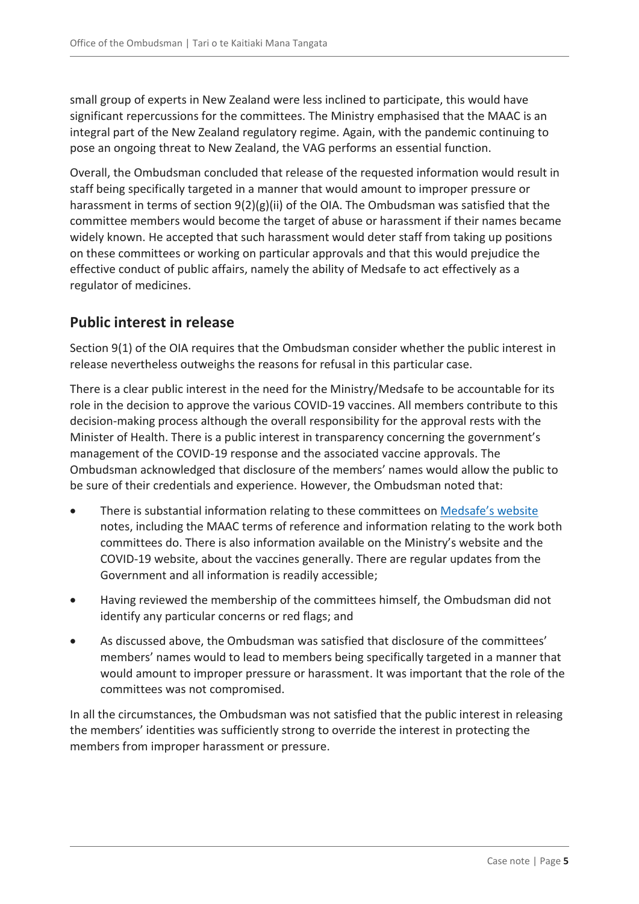small group of experts in New Zealand were less inclined to participate, this would have significant repercussions for the committees. The Ministry emphasised that the MAAC is an integral part of the New Zealand regulatory regime. Again, with the pandemic continuing to pose an ongoing threat to New Zealand, the VAG performs an essential function.

Overall, the Ombudsman concluded that release of the requested information would result in staff being specifically targeted in a manner that would amount to improper pressure or harassment in terms of section 9(2)(g)(ii) of the OIA. The Ombudsman was satisfied that the committee members would become the target of abuse or harassment if their names became widely known. He accepted that such harassment would deter staff from taking up positions on these committees or working on particular approvals and that this would prejudice the effective conduct of public affairs, namely the ability of Medsafe to act effectively as a regulator of medicines.

#### **Public interest in release**

Section 9(1) of the OIA requires that the Ombudsman consider whether the public interest in release nevertheless outweighs the reasons for refusal in this particular case.

There is a clear public interest in the need for the Ministry/Medsafe to be accountable for its role in the decision to approve the various COVID-19 vaccines. All members contribute to this decision-making process although the overall responsibility for the approval rests with the Minister of Health. There is a public interest in transparency concerning the government's management of the COVID-19 response and the associated vaccine approvals. The Ombudsman acknowledged that disclosure of the members' names would allow the public to be sure of their credentials and experience. However, the Ombudsman noted that:

- There is substantial information relating to these committees on [Medsafe's website](https://www.medsafe.govt.nz/COVID-19/vaccine-approval-process.asp#expert) notes, including the MAAC terms of reference and information relating to the work both committees do. There is also information available on the Ministry's website and the COVID-19 website, about the vaccines generally. There are regular updates from the Government and all information is readily accessible;
- Having reviewed the membership of the committees himself, the Ombudsman did not identify any particular concerns or red flags; and
- As discussed above, the Ombudsman was satisfied that disclosure of the committees' members' names would to lead to members being specifically targeted in a manner that would amount to improper pressure or harassment. It was important that the role of the committees was not compromised.

In all the circumstances, the Ombudsman was not satisfied that the public interest in releasing the members' identities was sufficiently strong to override the interest in protecting the members from improper harassment or pressure.